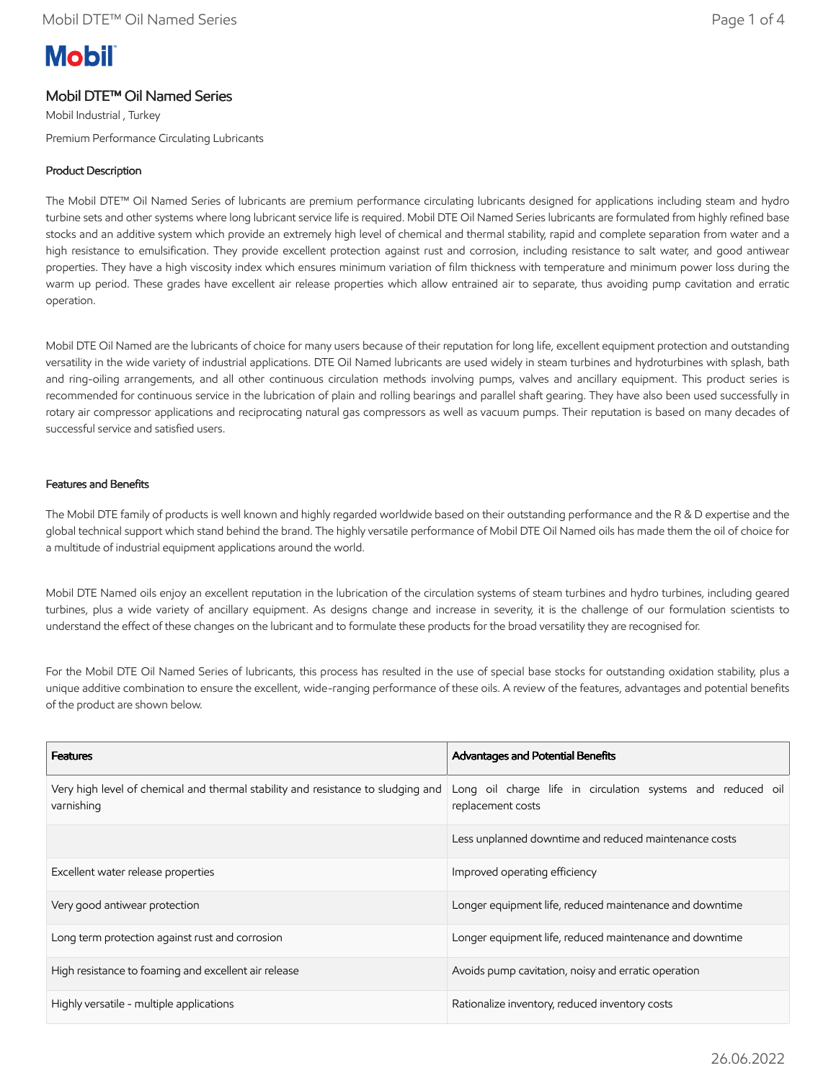# **Mobil**

# Mobil DTE™ Oil Named Series

Mobil Industrial , Turkey Premium Performance Circulating Lubricants

## Product Description

The Mobil DTE™ Oil Named Series of lubricants are premium performance circulating lubricants designed for applications including steam and hydro turbine sets and other systems where long lubricant service life is required. Mobil DTE Oil Named Series lubricants are formulated from highly refined base stocks and an additive system which provide an extremely high level of chemical and thermal stability, rapid and complete separation from water and a high resistance to emulsification. They provide excellent protection against rust and corrosion, including resistance to salt water, and good antiwear properties. They have a high viscosity index which ensures minimum variation of film thickness with temperature and minimum power loss during the warm up period. These grades have excellent air release properties which allow entrained air to separate, thus avoiding pump cavitation and erratic operation.

Mobil DTE Oil Named are the lubricants of choice for many users because of their reputation for long life, excellent equipment protection and outstanding versatility in the wide variety of industrial applications. DTE Oil Named lubricants are used widely in steam turbines and hydroturbines with splash, bath and ring-oiling arrangements, and all other continuous circulation methods involving pumps, valves and ancillary equipment. This product series is recommended for continuous service in the lubrication of plain and rolling bearings and parallel shaft gearing. They have also been used successfully in rotary air compressor applications and reciprocating natural gas compressors as well as vacuum pumps. Their reputation is based on many decades of successful service and satisfied users.

## Features and Benefits

The Mobil DTE family of products is well known and highly regarded worldwide based on their outstanding performance and the R & D expertise and the global technical support which stand behind the brand. The highly versatile performance of Mobil DTE Oil Named oils has made them the oil of choice for a multitude of industrial equipment applications around the world.

Mobil DTE Named oils enjoy an excellent reputation in the lubrication of the circulation systems of steam turbines and hydro turbines, including geared turbines, plus a wide variety of ancillary equipment. As designs change and increase in severity, it is the challenge of our formulation scientists to understand the effect of these changes on the lubricant and to formulate these products for the broad versatility they are recognised for.

For the Mobil DTE Oil Named Series of lubricants, this process has resulted in the use of special base stocks for outstanding oxidation stability, plus a unique additive combination to ensure the excellent, wide-ranging performance of these oils. A review of the features, advantages and potential benefits of the product are shown below.

| <b>Features</b>                                                                                | Advantages and Potential Benefits                                                |
|------------------------------------------------------------------------------------------------|----------------------------------------------------------------------------------|
| Very high level of chemical and thermal stability and resistance to sludging and<br>varnishing | Long oil charge life in circulation systems and reduced oil<br>replacement costs |
|                                                                                                | Less unplanned downtime and reduced maintenance costs                            |
| Excellent water release properties                                                             | Improved operating efficiency                                                    |
| Very good antiwear protection                                                                  | Longer equipment life, reduced maintenance and downtime                          |
| Long term protection against rust and corrosion                                                | Longer equipment life, reduced maintenance and downtime                          |
| High resistance to foaming and excellent air release                                           | Avoids pump cavitation, noisy and erratic operation                              |
| Highly versatile - multiple applications                                                       | Rationalize inventory, reduced inventory costs                                   |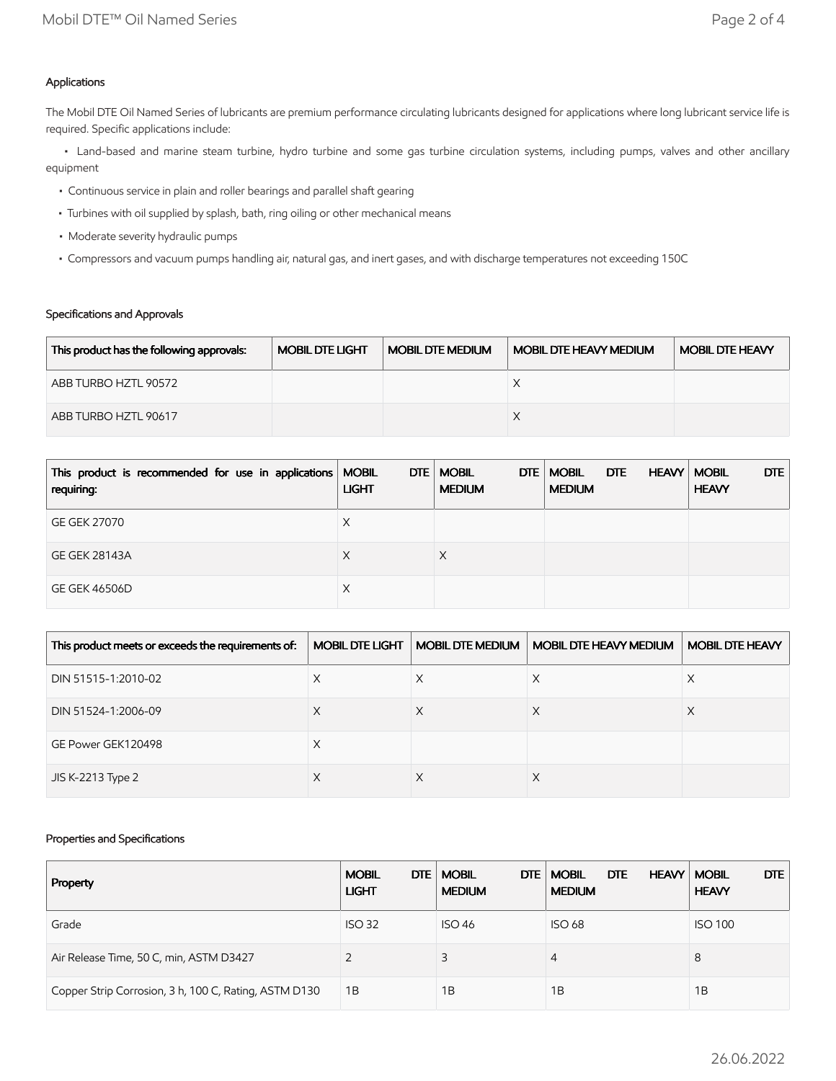# Applications

The Mobil DTE Oil Named Series of lubricants are premium performance circulating lubricants designed for applications where long lubricant service life is required. Specific applications include:

 • Land-based and marine steam turbine, hydro turbine and some gas turbine circulation systems, including pumps, valves and other ancillary equipment

- Continuous service in plain and roller bearings and parallel shaft gearing
- Turbines with oil supplied by splash, bath, ring oiling or other mechanical means
- Moderate severity hydraulic pumps
- Compressors and vacuum pumps handling air, natural gas, and inert gases, and with discharge temperatures not exceeding 150C

# Specifications and Approvals

| This product has the following approvals: | <b>MOBIL DTE LIGHT</b> | <b>MOBIL DTE MEDIUM</b> | <b>MOBIL DTE HEAVY MEDIUM</b> | <b>MOBIL DTE HEAVY</b> |
|-------------------------------------------|------------------------|-------------------------|-------------------------------|------------------------|
| ABB TURBO HZTL 90572                      |                        |                         |                               |                        |
| ABB TURBO HZTL 90617                      |                        |                         |                               |                        |

| This product is recommended for use in applications   MOBIL<br>requiring: | <b>LIGHT</b> | DTE   MOBIL<br>DTE<br><b>MEDIUM</b> | <b>MOBIL</b><br>DTE<br><b>MEDIUM</b> | DTE<br><b>HEAVY   MOBIL</b><br><b>HEAVY</b> |
|---------------------------------------------------------------------------|--------------|-------------------------------------|--------------------------------------|---------------------------------------------|
| <b>GE GEK 27070</b>                                                       | Х            |                                     |                                      |                                             |
| <b>GE GEK 28143A</b>                                                      | Х            |                                     |                                      |                                             |
| <b>GE GEK 46506D</b>                                                      | Х            |                                     |                                      |                                             |

| This product meets or exceeds the requirements of: | <b>MOBIL DTE LIGHT</b> | <b>MOBIL DTE MEDIUM</b> | <b>MOBIL DTE HEAVY MEDIUM</b> | <b>MOBIL DTE HEAVY</b> |
|----------------------------------------------------|------------------------|-------------------------|-------------------------------|------------------------|
| DIN 51515-1:2010-02                                | Х                      | X                       | X                             | ∧                      |
| DIN 51524-1:2006-09                                | ⋏                      |                         |                               |                        |
| GE Power GEK120498                                 | Х                      |                         |                               |                        |
| JIS K-2213 Type 2                                  | $\sim$                 |                         | ∧                             |                        |

## Properties and Specifications

| Property                                              | DTE  <br><b>MOBIL</b><br><b>LIGHT</b> | <b>MOBIL</b><br>DTE.<br><b>MEDIUM</b> | <b>DTE</b><br><b>MOBIL</b><br><b>HEAVY   MOBIL</b><br><b>MEDIUM</b> | <b>DTE</b><br><b>HEAVY</b> |
|-------------------------------------------------------|---------------------------------------|---------------------------------------|---------------------------------------------------------------------|----------------------------|
| Grade                                                 | <b>ISO 32</b>                         | <b>ISO 46</b>                         | <b>ISO 68</b>                                                       | <b>ISO 100</b>             |
| Air Release Time, 50 C, min, ASTM D3427               |                                       |                                       | 4                                                                   | 8                          |
| Copper Strip Corrosion, 3 h, 100 C, Rating, ASTM D130 | 1B                                    | 1B                                    | 1Β                                                                  | 1B                         |